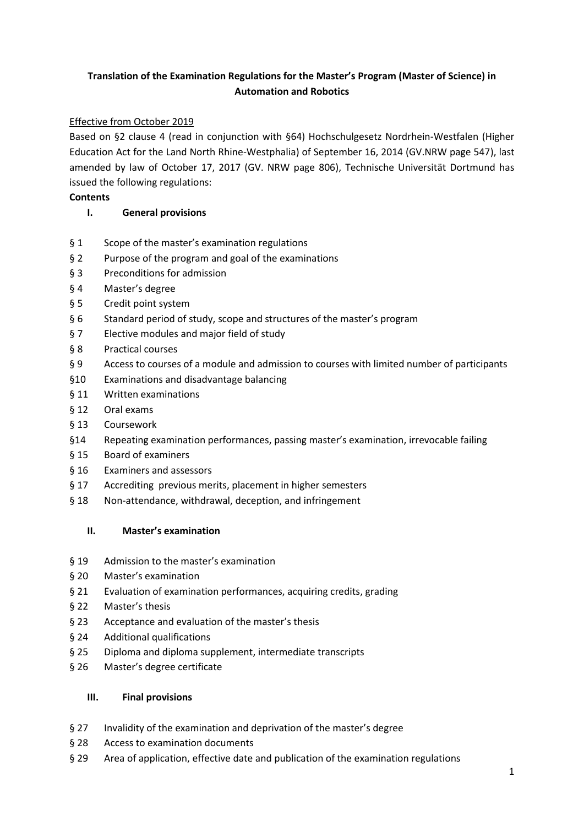# **Translation of the Examination Regulations for the Master's Program (Master of Science) in Automation and Robotics**

# Effective from October 2019

Based on §2 clause 4 (read in conjunction with §64) Hochschulgesetz Nordrhein-Westfalen (Higher Education Act for the Land North Rhine-Westphalia) of September 16, 2014 (GV.NRW page 547), last amended by law of October 17, 2017 (GV. NRW page 806), Technische Universität Dortmund has issued the following regulations:

# **Contents**

# **I. General provisions**

- § 1 Scope of the master's examination regulations
- § 2 Purpose of the program and goal of the examinations
- § 3 Preconditions for admission
- § 4 Master's degree
- § 5 Credit point system
- § 6 Standard period of study, scope and structures of the master's program
- § 7 Elective modules and major field of study
- § 8 Practical courses
- § 9 Access to courses of a module and admission to courses with limited number of participants
- §10 Examinations and disadvantage balancing
- § 11 Written examinations
- § 12 Oral exams
- § 13 Coursework
- §14 Repeating examination performances, passing master's examination, irrevocable failing
- § 15 Board of examiners
- § 16 Examiners and assessors
- § 17 Accrediting previous merits, placement in higher semesters
- § 18 Non-attendance, withdrawal, deception, and infringement

# **II. Master's examination**

- § 19 Admission to the master's examination
- § 20 Master's examination
- § 21 Evaluation of examination performances, acquiring credits, grading
- § 22 Master's thesis
- § 23 Acceptance and evaluation of the master's thesis
- § 24 Additional qualifications
- § 25 Diploma and diploma supplement, intermediate transcripts
- § 26 Master's degree certificate

# **III. Final provisions**

- § 27 Invalidity of the examination and deprivation of the master's degree
- § 28 Access to examination documents
- § 29 Area of application, effective date and publication of the examination regulations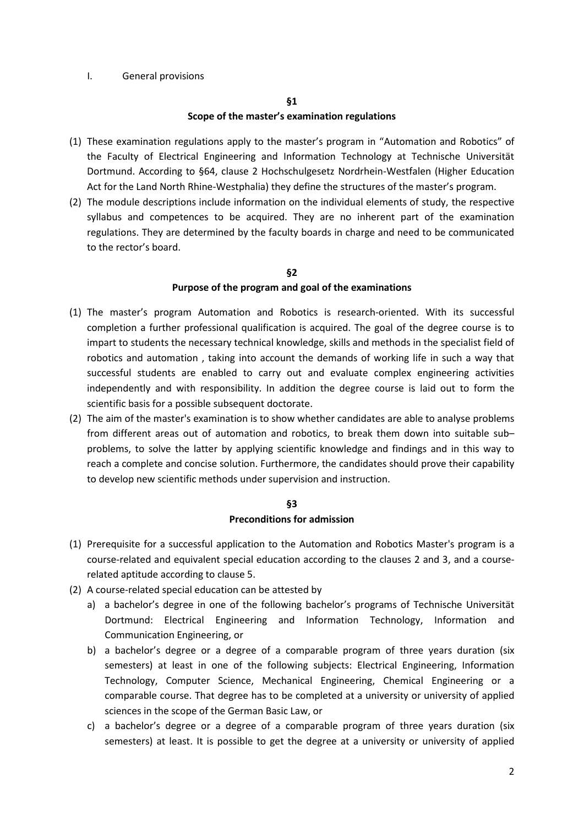### I. General provisions

#### **§1**

#### **Scope of the master's examination regulations**

- (1) These examination regulations apply to the master's program in "Automation and Robotics" of the Faculty of Electrical Engineering and Information Technology at Technische Universität Dortmund. According to §64, clause 2 Hochschulgesetz Nordrhein-Westfalen (Higher Education Act for the Land North Rhine-Westphalia) they define the structures of the master's program.
- (2) The module descriptions include information on the individual elements of study, the respective syllabus and competences to be acquired. They are no inherent part of the examination regulations. They are determined by the faculty boards in charge and need to be communicated to the rector's board.

### **§2**

### **Purpose of the program and goal of the examinations**

- (1) The master's program Automation and Robotics is research-oriented. With its successful completion a further professional qualification is acquired. The goal of the degree course is to impart to students the necessary technical knowledge, skills and methods in the specialist field of robotics and automation , taking into account the demands of working life in such a way that successful students are enabled to carry out and evaluate complex engineering activities independently and with responsibility. In addition the degree course is laid out to form the scientific basis for a possible subsequent doctorate.
- (2) The aim of the master's examination is to show whether candidates are able to analyse problems from different areas out of automation and robotics, to break them down into suitable sub– problems, to solve the latter by applying scientific knowledge and findings and in this way to reach a complete and concise solution. Furthermore, the candidates should prove their capability to develop new scientific methods under supervision and instruction.

# **§3 Preconditions for admission**

- (1) Prerequisite for a successful application to the Automation and Robotics Master's program is a course-related and equivalent special education according to the clauses 2 and 3, and a courserelated aptitude according to clause 5.
- (2) A course-related special education can be attested by
	- a) a bachelor's degree in one of the following bachelor's programs of Technische Universität Dortmund: Electrical Engineering and Information Technology, Information and Communication Engineering, or
	- b) a bachelor's degree or a degree of a comparable program of three years duration (six semesters) at least in one of the following subjects: Electrical Engineering, Information Technology, Computer Science, Mechanical Engineering, Chemical Engineering or a comparable course. That degree has to be completed at a university or university of applied sciences in the scope of the German Basic Law, or
	- c) a bachelor's degree or a degree of a comparable program of three years duration (six semesters) at least. It is possible to get the degree at a university or university of applied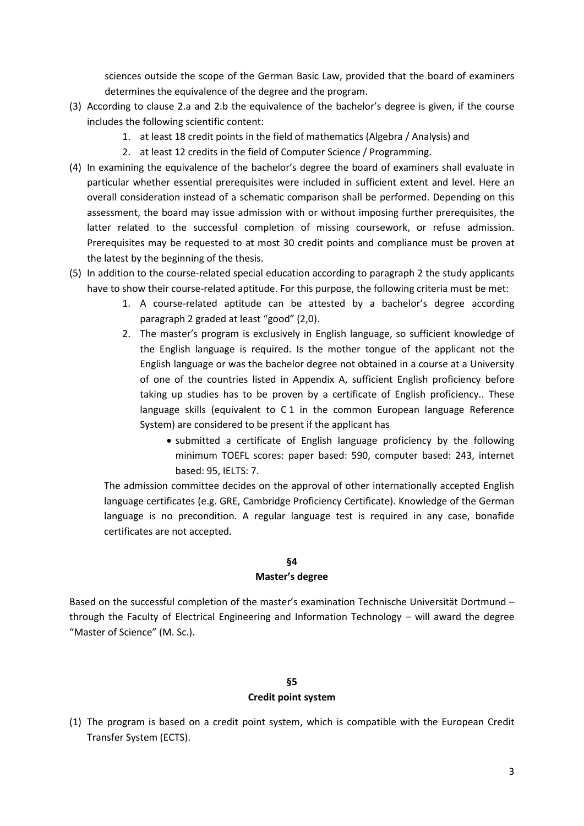sciences outside the scope of the German Basic Law, provided that the board of examiners determines the equivalence of the degree and the program.

- (3) According to clause 2.a and 2.b the equivalence of the bachelor's degree is given, if the course includes the following scientific content:
	- 1. at least 18 credit points in the field of mathematics (Algebra / Analysis) and
	- 2. at least 12 credits in the field of Computer Science / Programming.
- (4) In examining the equivalence of the bachelor's degree the board of examiners shall evaluate in particular whether essential prerequisites were included in sufficient extent and level. Here an overall consideration instead of a schematic comparison shall be performed. Depending on this assessment, the board may issue admission with or without imposing further prerequisites, the latter related to the successful completion of missing coursework, or refuse admission. Prerequisites may be requested to at most 30 credit points and compliance must be proven at the latest by the beginning of the thesis.
- (5) In addition to the course-related special education according to paragraph 2 the study applicants have to show their course-related aptitude. For this purpose, the following criteria must be met:
	- 1. A course-related aptitude can be attested by a bachelor's degree according paragraph 2 graded at least "good" (2,0).
	- 2. The master's program is exclusively in English language, so sufficient knowledge of the English language is required. Is the mother tongue of the applicant not the English language or was the bachelor degree not obtained in a course at a University of one of the countries listed in Appendix A, sufficient English proficiency before taking up studies has to be proven by a certificate of English proficiency.. These language skills (equivalent to C 1 in the common European language Reference System) are considered to be present if the applicant has
		- submitted a certificate of English language proficiency by the following minimum TOEFL scores: paper based: 590, computer based: 243, internet based: 95, IELTS: 7.

The admission committee decides on the approval of other internationally accepted English language certificates (e.g. GRE, Cambridge Proficiency Certificate). Knowledge of the German language is no precondition. A regular language test is required in any case, bonafide certificates are not accepted.

# **§4**

### **Master's degree**

Based on the successful completion of the master's examination Technische Universität Dortmund – through the Faculty of Electrical Engineering and Information Technology – will award the degree "Master of Science" (M. Sc.).

# **§5 Credit point system**

(1) The program is based on a credit point system, which is compatible with the European Credit Transfer System (ECTS).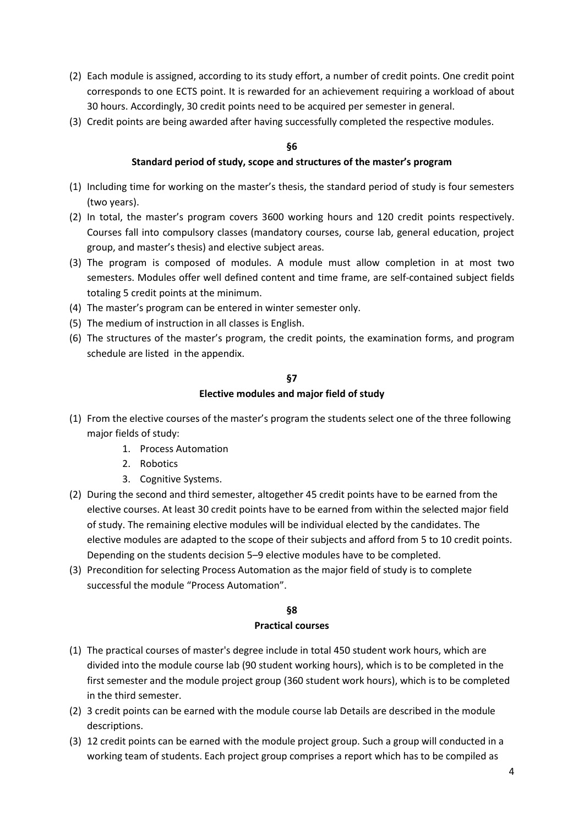- (2) Each module is assigned, according to its study effort, a number of credit points. One credit point corresponds to one ECTS point. It is rewarded for an achievement requiring a workload of about 30 hours. Accordingly, 30 credit points need to be acquired per semester in general.
- (3) Credit points are being awarded after having successfully completed the respective modules.

### **Standard period of study, scope and structures of the master's program**

- (1) Including time for working on the master's thesis, the standard period of study is four semesters (two years).
- (2) In total, the master's program covers 3600 working hours and 120 credit points respectively. Courses fall into compulsory classes (mandatory courses, course lab, general education, project group, and master's thesis) and elective subject areas.
- (3) The program is composed of modules. A module must allow completion in at most two semesters. Modules offer well defined content and time frame, are self-contained subject fields totaling 5 credit points at the minimum.
- (4) The master's program can be entered in winter semester only.
- (5) The medium of instruction in all classes is English.
- (6) The structures of the master's program, the credit points, the examination forms, and program schedule are listed in the appendix.

### **§7**

### **Elective modules and major field of study**

- (1) From the elective courses of the master's program the students select one of the three following major fields of study:
	- 1. Process Automation
	- 2. Robotics
	- 3. Cognitive Systems.
- (2) During the second and third semester, altogether 45 credit points have to be earned from the elective courses. At least 30 credit points have to be earned from within the selected major field of study. The remaining elective modules will be individual elected by the candidates. The elective modules are adapted to the scope of their subjects and afford from 5 to 10 credit points. Depending on the students decision 5–9 elective modules have to be completed.
- (3) Precondition for selecting Process Automation as the major field of study is to complete successful the module "Process Automation".

# **§8**

#### **Practical courses**

- (1) The practical courses of master's degree include in total 450 student work hours, which are divided into the module course lab (90 student working hours), which is to be completed in the first semester and the module project group (360 student work hours), which is to be completed in the third semester.
- (2) 3 credit points can be earned with the module course lab Details are described in the module descriptions.
- (3) 12 credit points can be earned with the module project group. Such a group will conducted in a working team of students. Each project group comprises a report which has to be compiled as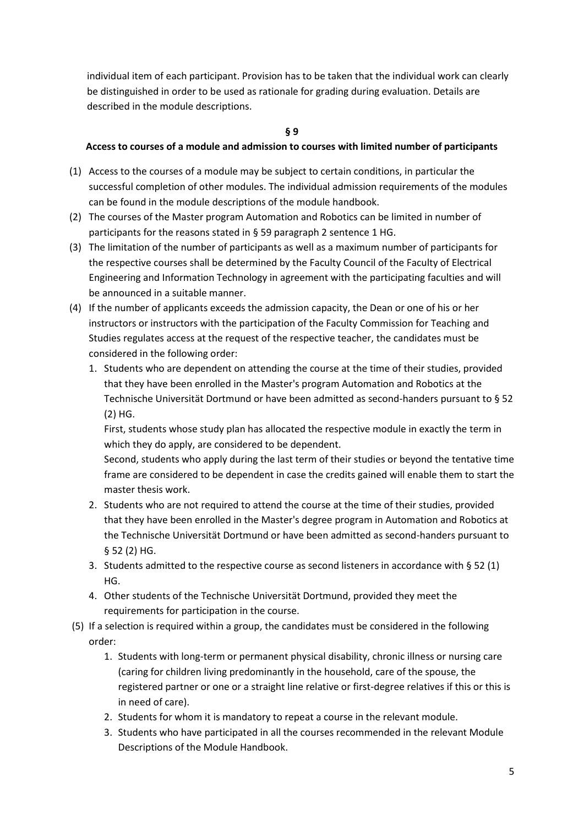individual item of each participant. Provision has to be taken that the individual work can clearly be distinguished in order to be used as rationale for grading during evaluation. Details are described in the module descriptions.

### **§ 9**

# **Access to courses of a module and admission to courses with limited number of participants**

- (1) Access to the courses of a module may be subject to certain conditions, in particular the successful completion of other modules. The individual admission requirements of the modules can be found in the module descriptions of the module handbook.
- (2) The courses of the Master program Automation and Robotics can be limited in number of participants for the reasons stated in § 59 paragraph 2 sentence 1 HG.
- (3) The limitation of the number of participants as well as a maximum number of participants for the respective courses shall be determined by the Faculty Council of the Faculty of Electrical Engineering and Information Technology in agreement with the participating faculties and will be announced in a suitable manner.
- (4) If the number of applicants exceeds the admission capacity, the Dean or one of his or her instructors or instructors with the participation of the Faculty Commission for Teaching and Studies regulates access at the request of the respective teacher, the candidates must be considered in the following order:
	- 1. Students who are dependent on attending the course at the time of their studies, provided that they have been enrolled in the Master's program Automation and Robotics at the Technische Universität Dortmund or have been admitted as second-handers pursuant to § 52 (2) HG.

First, students whose study plan has allocated the respective module in exactly the term in which they do apply, are considered to be dependent.

Second, students who apply during the last term of their studies or beyond the tentative time frame are considered to be dependent in case the credits gained will enable them to start the master thesis work.

- 2. Students who are not required to attend the course at the time of their studies, provided that they have been enrolled in the Master's degree program in Automation and Robotics at the Technische Universität Dortmund or have been admitted as second-handers pursuant to § 52 (2) HG.
- 3. Students admitted to the respective course as second listeners in accordance with § 52 (1) HG.
- 4. Other students of the Technische Universität Dortmund, provided they meet the requirements for participation in the course.
- (5) If a selection is required within a group, the candidates must be considered in the following order:
	- 1. Students with long-term or permanent physical disability, chronic illness or nursing care (caring for children living predominantly in the household, care of the spouse, the registered partner or one or a straight line relative or first-degree relatives if this or this is in need of care).
	- 2. Students for whom it is mandatory to repeat a course in the relevant module.
	- 3. Students who have participated in all the courses recommended in the relevant Module Descriptions of the Module Handbook.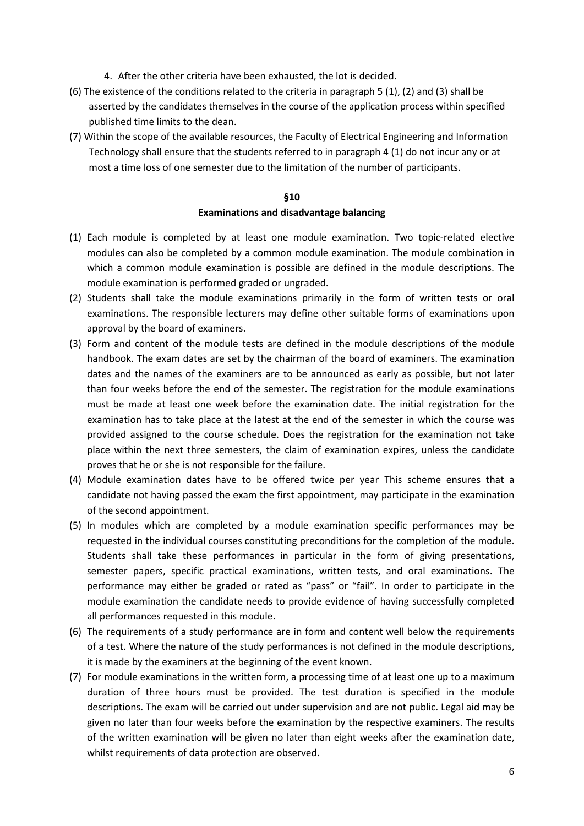- 4. After the other criteria have been exhausted, the lot is decided.
- (6) The existence of the conditions related to the criteria in paragraph 5 (1), (2) and (3) shall be asserted by the candidates themselves in the course of the application process within specified published time limits to the dean.
- (7) Within the scope of the available resources, the Faculty of Electrical Engineering and Information Technology shall ensure that the students referred to in paragraph 4 (1) do not incur any or at most a time loss of one semester due to the limitation of the number of participants.

### **Examinations and disadvantage balancing**

- (1) Each module is completed by at least one module examination. Two topic-related elective modules can also be completed by a common module examination. The module combination in which a common module examination is possible are defined in the module descriptions. The module examination is performed graded or ungraded.
- (2) Students shall take the module examinations primarily in the form of written tests or oral examinations. The responsible lecturers may define other suitable forms of examinations upon approval by the board of examiners.
- (3) Form and content of the module tests are defined in the module descriptions of the module handbook. The exam dates are set by the chairman of the board of examiners. The examination dates and the names of the examiners are to be announced as early as possible, but not later than four weeks before the end of the semester. The registration for the module examinations must be made at least one week before the examination date. The initial registration for the examination has to take place at the latest at the end of the semester in which the course was provided assigned to the course schedule. Does the registration for the examination not take place within the next three semesters, the claim of examination expires, unless the candidate proves that he or she is not responsible for the failure.
- (4) Module examination dates have to be offered twice per year This scheme ensures that a candidate not having passed the exam the first appointment, may participate in the examination of the second appointment.
- (5) In modules which are completed by a module examination specific performances may be requested in the individual courses constituting preconditions for the completion of the module. Students shall take these performances in particular in the form of giving presentations, semester papers, specific practical examinations, written tests, and oral examinations. The performance may either be graded or rated as "pass" or "fail". In order to participate in the module examination the candidate needs to provide evidence of having successfully completed all performances requested in this module.
- (6) The requirements of a study performance are in form and content well below the requirements of a test. Where the nature of the study performances is not defined in the module descriptions, it is made by the examiners at the beginning of the event known.
- (7) For module examinations in the written form, a processing time of at least one up to a maximum duration of three hours must be provided. The test duration is specified in the module descriptions. The exam will be carried out under supervision and are not public. Legal aid may be given no later than four weeks before the examination by the respective examiners. The results of the written examination will be given no later than eight weeks after the examination date, whilst requirements of data protection are observed.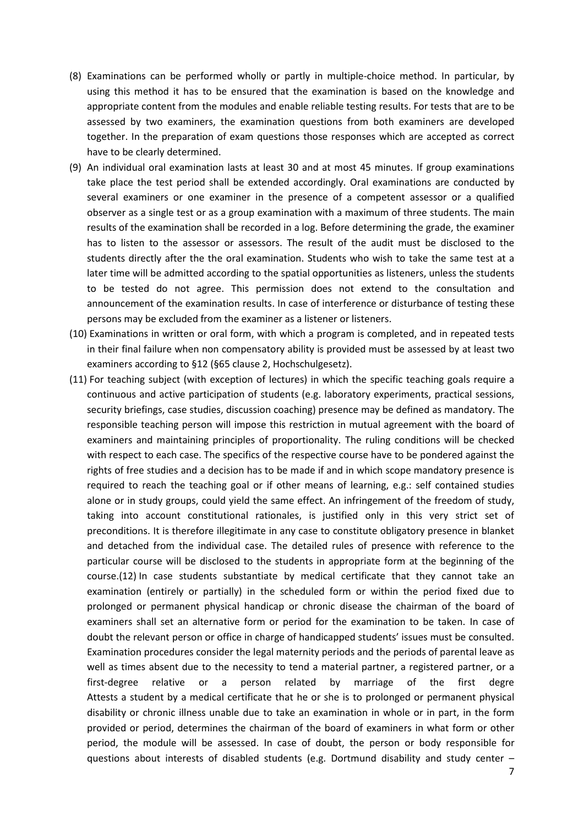- (8) Examinations can be performed wholly or partly in multiple-choice method. In particular, by using this method it has to be ensured that the examination is based on the knowledge and appropriate content from the modules and enable reliable testing results. For tests that are to be assessed by two examiners, the examination questions from both examiners are developed together. In the preparation of exam questions those responses which are accepted as correct have to be clearly determined.
- (9) An individual oral examination lasts at least 30 and at most 45 minutes. If group examinations take place the test period shall be extended accordingly. Oral examinations are conducted by several examiners or one examiner in the presence of a competent assessor or a qualified observer as a single test or as a group examination with a maximum of three students. The main results of the examination shall be recorded in a log. Before determining the grade, the examiner has to listen to the assessor or assessors. The result of the audit must be disclosed to the students directly after the the oral examination. Students who wish to take the same test at a later time will be admitted according to the spatial opportunities as listeners, unless the students to be tested do not agree. This permission does not extend to the consultation and announcement of the examination results. In case of interference or disturbance of testing these persons may be excluded from the examiner as a listener or listeners.
- (10) Examinations in written or oral form, with which a program is completed, and in repeated tests in their final failure when non compensatory ability is provided must be assessed by at least two examiners according to §12 (§65 clause 2, Hochschulgesetz).
- (11) For teaching subject (with exception of lectures) in which the specific teaching goals require a continuous and active participation of students (e.g. laboratory experiments, practical sessions, security briefings, case studies, discussion coaching) presence may be defined as mandatory. The responsible teaching person will impose this restriction in mutual agreement with the board of examiners and maintaining principles of proportionality. The ruling conditions will be checked with respect to each case. The specifics of the respective course have to be pondered against the rights of free studies and a decision has to be made if and in which scope mandatory presence is required to reach the teaching goal or if other means of learning, e.g.: self contained studies alone or in study groups, could yield the same effect. An infringement of the freedom of study, taking into account constitutional rationales, is justified only in this very strict set of preconditions. It is therefore illegitimate in any case to constitute obligatory presence in blanket and detached from the individual case. The detailed rules of presence with reference to the particular course will be disclosed to the students in appropriate form at the beginning of the course.(12) In case students substantiate by medical certificate that they cannot take an examination (entirely or partially) in the scheduled form or within the period fixed due to prolonged or permanent physical handicap or chronic disease the chairman of the board of examiners shall set an alternative form or period for the examination to be taken. In case of doubt the relevant person or office in charge of handicapped students' issues must be consulted. Examination procedures consider the legal maternity periods and the periods of parental leave as well as times absent due to the necessity to tend a material partner, a registered partner, or a first-degree relative or a person related by marriage of the first degre Attests a student by a medical certificate that he or she is to prolonged or permanent physical disability or chronic illness unable due to take an examination in whole or in part, in the form provided or period, determines the chairman of the board of examiners in what form or other period, the module will be assessed. In case of doubt, the person or body responsible for questions about interests of disabled students (e.g. Dortmund disability and study center  $-$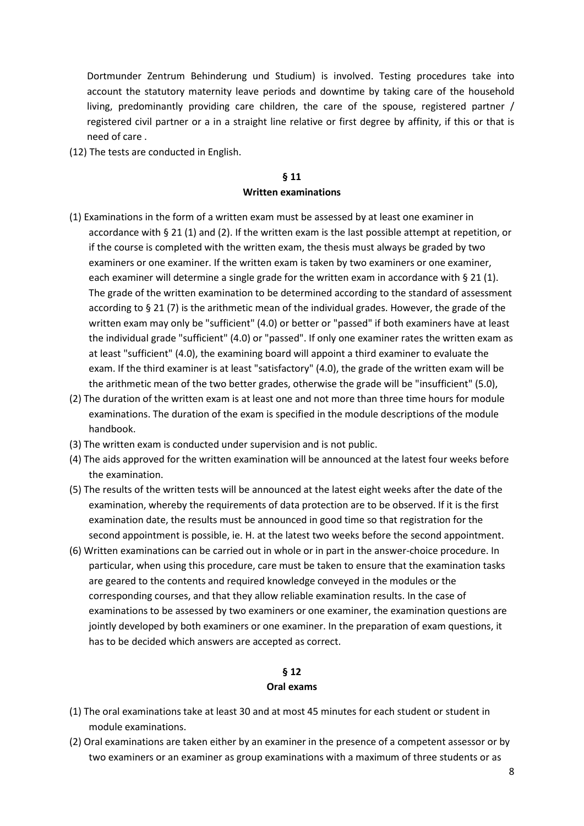Dortmunder Zentrum Behinderung und Studium) is involved. Testing procedures take into account the statutory maternity leave periods and downtime by taking care of the household living, predominantly providing care children, the care of the spouse, registered partner / registered civil partner or a in a straight line relative or first degree by affinity, if this or that is need of care .

(12) The tests are conducted in English.

# **§ 11 Written examinations**

- (1) Examinations in the form of a written exam must be assessed by at least one examiner in accordance with § 21 (1) and (2). If the written exam is the last possible attempt at repetition, or if the course is completed with the written exam, the thesis must always be graded by two examiners or one examiner. If the written exam is taken by two examiners or one examiner, each examiner will determine a single grade for the written exam in accordance with § 21 (1). The grade of the written examination to be determined according to the standard of assessment according to § 21 (7) is the arithmetic mean of the individual grades. However, the grade of the written exam may only be "sufficient" (4.0) or better or "passed" if both examiners have at least the individual grade "sufficient" (4.0) or "passed". If only one examiner rates the written exam as at least "sufficient" (4.0), the examining board will appoint a third examiner to evaluate the exam. If the third examiner is at least "satisfactory" (4.0), the grade of the written exam will be the arithmetic mean of the two better grades, otherwise the grade will be "insufficient" (5.0),
- (2) The duration of the written exam is at least one and not more than three time hours for module examinations. The duration of the exam is specified in the module descriptions of the module handbook.
- (3) The written exam is conducted under supervision and is not public.
- (4) The aids approved for the written examination will be announced at the latest four weeks before the examination.
- (5) The results of the written tests will be announced at the latest eight weeks after the date of the examination, whereby the requirements of data protection are to be observed. If it is the first examination date, the results must be announced in good time so that registration for the second appointment is possible, ie. H. at the latest two weeks before the second appointment.
- (6) Written examinations can be carried out in whole or in part in the answer-choice procedure. In particular, when using this procedure, care must be taken to ensure that the examination tasks are geared to the contents and required knowledge conveyed in the modules or the corresponding courses, and that they allow reliable examination results. In the case of examinations to be assessed by two examiners or one examiner, the examination questions are jointly developed by both examiners or one examiner. In the preparation of exam questions, it has to be decided which answers are accepted as correct.

# **§ 12**

#### **Oral exams**

- (1) The oral examinations take at least 30 and at most 45 minutes for each student or student in module examinations.
- (2) Oral examinations are taken either by an examiner in the presence of a competent assessor or by two examiners or an examiner as group examinations with a maximum of three students or as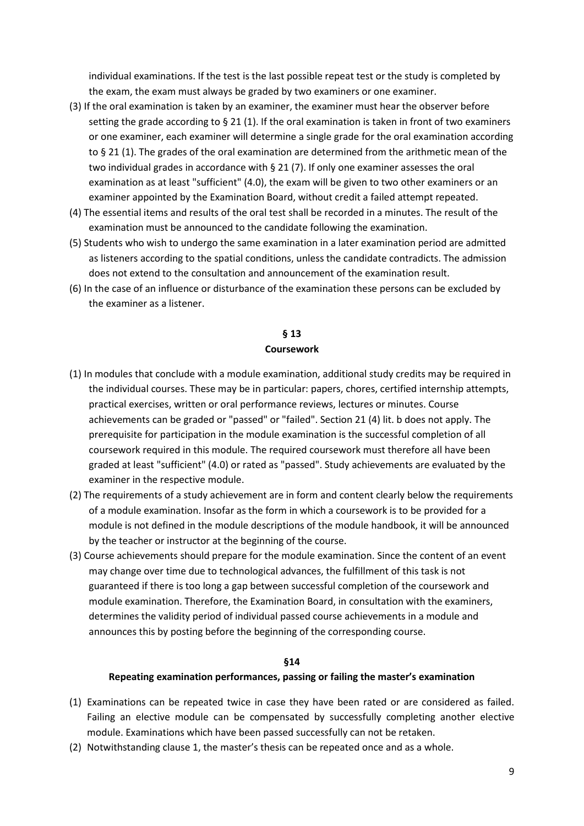individual examinations. If the test is the last possible repeat test or the study is completed by the exam, the exam must always be graded by two examiners or one examiner.

- (3) If the oral examination is taken by an examiner, the examiner must hear the observer before setting the grade according to  $\S 21$  (1). If the oral examination is taken in front of two examiners or one examiner, each examiner will determine a single grade for the oral examination according to § 21 (1). The grades of the oral examination are determined from the arithmetic mean of the two individual grades in accordance with § 21 (7). If only one examiner assesses the oral examination as at least "sufficient" (4.0), the exam will be given to two other examiners or an examiner appointed by the Examination Board, without credit a failed attempt repeated.
- (4) The essential items and results of the oral test shall be recorded in a minutes. The result of the examination must be announced to the candidate following the examination.
- (5) Students who wish to undergo the same examination in a later examination period are admitted as listeners according to the spatial conditions, unless the candidate contradicts. The admission does not extend to the consultation and announcement of the examination result.
- (6) In the case of an influence or disturbance of the examination these persons can be excluded by the examiner as a listener.

# **§ 13 Coursework**

- (1) In modules that conclude with a module examination, additional study credits may be required in the individual courses. These may be in particular: papers, chores, certified internship attempts, practical exercises, written or oral performance reviews, lectures or minutes. Course achievements can be graded or "passed" or "failed". Section 21 (4) lit. b does not apply. The prerequisite for participation in the module examination is the successful completion of all coursework required in this module. The required coursework must therefore all have been graded at least "sufficient" (4.0) or rated as "passed". Study achievements are evaluated by the examiner in the respective module.
- (2) The requirements of a study achievement are in form and content clearly below the requirements of a module examination. Insofar as the form in which a coursework is to be provided for a module is not defined in the module descriptions of the module handbook, it will be announced by the teacher or instructor at the beginning of the course.
- (3) Course achievements should prepare for the module examination. Since the content of an event may change over time due to technological advances, the fulfillment of this task is not guaranteed if there is too long a gap between successful completion of the coursework and module examination. Therefore, the Examination Board, in consultation with the examiners, determines the validity period of individual passed course achievements in a module and announces this by posting before the beginning of the corresponding course.

### **§14**

#### **Repeating examination performances, passing or failing the master's examination**

- (1) Examinations can be repeated twice in case they have been rated or are considered as failed. Failing an elective module can be compensated by successfully completing another elective module. Examinations which have been passed successfully can not be retaken.
- (2) Notwithstanding clause 1, the master's thesis can be repeated once and as a whole.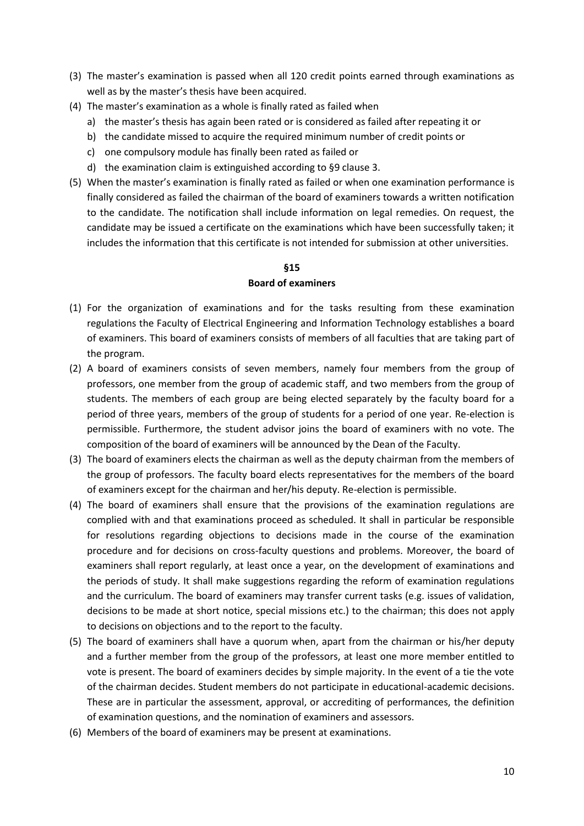- (3) The master's examination is passed when all 120 credit points earned through examinations as well as by the master's thesis have been acquired.
- (4) The master's examination as a whole is finally rated as failed when
	- a) the master's thesis has again been rated or is considered as failed after repeating it or
	- b) the candidate missed to acquire the required minimum number of credit points or
	- c) one compulsory module has finally been rated as failed or
	- d) the examination claim is extinguished according to §9 clause 3.
- (5) When the master's examination is finally rated as failed or when one examination performance is finally considered as failed the chairman of the board of examiners towards a written notification to the candidate. The notification shall include information on legal remedies. On request, the candidate may be issued a certificate on the examinations which have been successfully taken; it includes the information that this certificate is not intended for submission at other universities.

#### **Board of examiners**

- (1) For the organization of examinations and for the tasks resulting from these examination regulations the Faculty of Electrical Engineering and Information Technology establishes a board of examiners. This board of examiners consists of members of all faculties that are taking part of the program.
- (2) A board of examiners consists of seven members, namely four members from the group of professors, one member from the group of academic staff, and two members from the group of students. The members of each group are being elected separately by the faculty board for a period of three years, members of the group of students for a period of one year. Re-election is permissible. Furthermore, the student advisor joins the board of examiners with no vote. The composition of the board of examiners will be announced by the Dean of the Faculty.
- (3) The board of examiners elects the chairman as well as the deputy chairman from the members of the group of professors. The faculty board elects representatives for the members of the board of examiners except for the chairman and her/his deputy. Re-election is permissible.
- (4) The board of examiners shall ensure that the provisions of the examination regulations are complied with and that examinations proceed as scheduled. It shall in particular be responsible for resolutions regarding objections to decisions made in the course of the examination procedure and for decisions on cross-faculty questions and problems. Moreover, the board of examiners shall report regularly, at least once a year, on the development of examinations and the periods of study. It shall make suggestions regarding the reform of examination regulations and the curriculum. The board of examiners may transfer current tasks (e.g. issues of validation, decisions to be made at short notice, special missions etc.) to the chairman; this does not apply to decisions on objections and to the report to the faculty.
- (5) The board of examiners shall have a quorum when, apart from the chairman or his/her deputy and a further member from the group of the professors, at least one more member entitled to vote is present. The board of examiners decides by simple majority. In the event of a tie the vote of the chairman decides. Student members do not participate in educational-academic decisions. These are in particular the assessment, approval, or accrediting of performances, the definition of examination questions, and the nomination of examiners and assessors.
- (6) Members of the board of examiners may be present at examinations.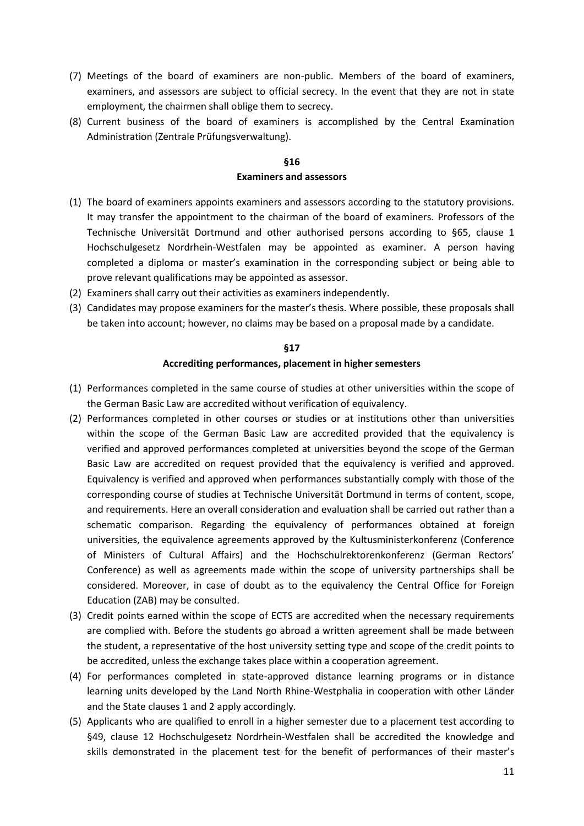- (7) Meetings of the board of examiners are non-public. Members of the board of examiners, examiners, and assessors are subject to official secrecy. In the event that they are not in state employment, the chairmen shall oblige them to secrecy.
- (8) Current business of the board of examiners is accomplished by the Central Examination Administration (Zentrale Prüfungsverwaltung).

### **§16 Examiners and assessors**

- (1) The board of examiners appoints examiners and assessors according to the statutory provisions. It may transfer the appointment to the chairman of the board of examiners. Professors of the Technische Universität Dortmund and other authorised persons according to §65, clause 1 Hochschulgesetz Nordrhein-Westfalen may be appointed as examiner. A person having completed a diploma or master's examination in the corresponding subject or being able to prove relevant qualifications may be appointed as assessor.
- (2) Examiners shall carry out their activities as examiners independently.
- (3) Candidates may propose examiners for the master's thesis. Where possible, these proposals shall be taken into account; however, no claims may be based on a proposal made by a candidate.

# **§17 Accrediting performances, placement in higher semesters**

- (1) Performances completed in the same course of studies at other universities within the scope of the German Basic Law are accredited without verification of equivalency.
- (2) Performances completed in other courses or studies or at institutions other than universities within the scope of the German Basic Law are accredited provided that the equivalency is verified and approved performances completed at universities beyond the scope of the German Basic Law are accredited on request provided that the equivalency is verified and approved. Equivalency is verified and approved when performances substantially comply with those of the corresponding course of studies at Technische Universität Dortmund in terms of content, scope, and requirements. Here an overall consideration and evaluation shall be carried out rather than a schematic comparison. Regarding the equivalency of performances obtained at foreign universities, the equivalence agreements approved by the Kultusministerkonferenz (Conference of Ministers of Cultural Affairs) and the Hochschulrektorenkonferenz (German Rectors' Conference) as well as agreements made within the scope of university partnerships shall be considered. Moreover, in case of doubt as to the equivalency the Central Office for Foreign Education (ZAB) may be consulted.
- (3) Credit points earned within the scope of ECTS are accredited when the necessary requirements are complied with. Before the students go abroad a written agreement shall be made between the student, a representative of the host university setting type and scope of the credit points to be accredited, unless the exchange takes place within a cooperation agreement.
- (4) For performances completed in state-approved distance learning programs or in distance learning units developed by the Land North Rhine-Westphalia in cooperation with other Länder and the State clauses 1 and 2 apply accordingly.
- (5) Applicants who are qualified to enroll in a higher semester due to a placement test according to §49, clause 12 Hochschulgesetz Nordrhein-Westfalen shall be accredited the knowledge and skills demonstrated in the placement test for the benefit of performances of their master's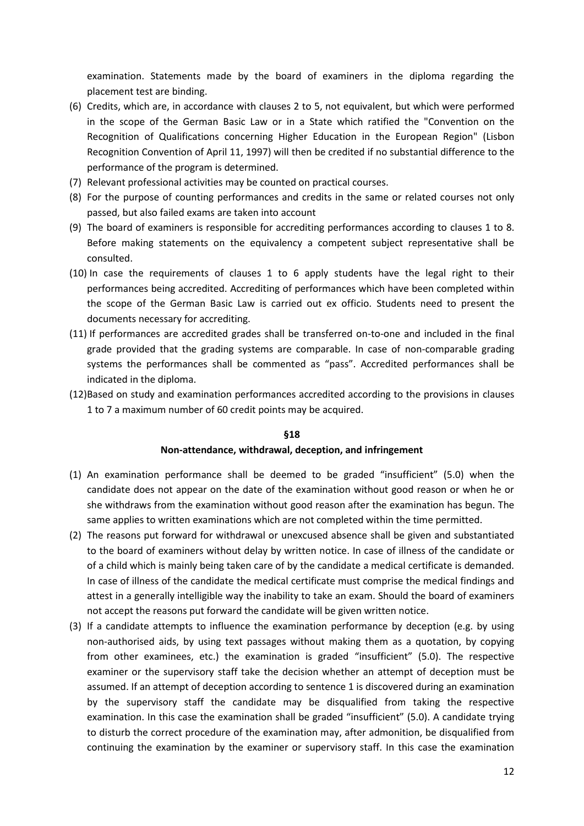examination. Statements made by the board of examiners in the diploma regarding the placement test are binding.

- (6) Credits, which are, in accordance with clauses 2 to 5, not equivalent, but which were performed in the scope of the German Basic Law or in a State which ratified the "Convention on the Recognition of Qualifications concerning Higher Education in the European Region" (Lisbon Recognition Convention of April 11, 1997) will then be credited if no substantial difference to the performance of the program is determined.
- (7) Relevant professional activities may be counted on practical courses.
- (8) For the purpose of counting performances and credits in the same or related courses not only passed, but also failed exams are taken into account
- (9) The board of examiners is responsible for accrediting performances according to clauses 1 to 8. Before making statements on the equivalency a competent subject representative shall be consulted.
- (10) In case the requirements of clauses 1 to 6 apply students have the legal right to their performances being accredited. Accrediting of performances which have been completed within the scope of the German Basic Law is carried out ex officio. Students need to present the documents necessary for accrediting.
- (11) If performances are accredited grades shall be transferred on-to-one and included in the final grade provided that the grading systems are comparable. In case of non-comparable grading systems the performances shall be commented as "pass". Accredited performances shall be indicated in the diploma.
- (12)Based on study and examination performances accredited according to the provisions in clauses 1 to 7 a maximum number of 60 credit points may be acquired.

#### **§18**

#### **Non-attendance, withdrawal, deception, and infringement**

- (1) An examination performance shall be deemed to be graded "insufficient" (5.0) when the candidate does not appear on the date of the examination without good reason or when he or she withdraws from the examination without good reason after the examination has begun. The same applies to written examinations which are not completed within the time permitted.
- (2) The reasons put forward for withdrawal or unexcused absence shall be given and substantiated to the board of examiners without delay by written notice. In case of illness of the candidate or of a child which is mainly being taken care of by the candidate a medical certificate is demanded. In case of illness of the candidate the medical certificate must comprise the medical findings and attest in a generally intelligible way the inability to take an exam. Should the board of examiners not accept the reasons put forward the candidate will be given written notice.
- (3) If a candidate attempts to influence the examination performance by deception (e.g. by using non-authorised aids, by using text passages without making them as a quotation, by copying from other examinees, etc.) the examination is graded "insufficient" (5.0). The respective examiner or the supervisory staff take the decision whether an attempt of deception must be assumed. If an attempt of deception according to sentence 1 is discovered during an examination by the supervisory staff the candidate may be disqualified from taking the respective examination. In this case the examination shall be graded "insufficient" (5.0). A candidate trying to disturb the correct procedure of the examination may, after admonition, be disqualified from continuing the examination by the examiner or supervisory staff. In this case the examination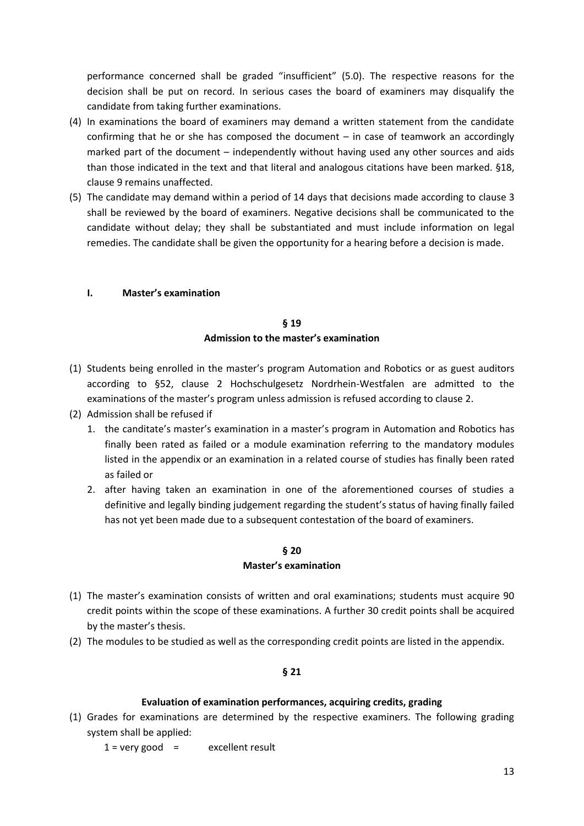performance concerned shall be graded "insufficient" (5.0). The respective reasons for the decision shall be put on record. In serious cases the board of examiners may disqualify the candidate from taking further examinations.

- (4) In examinations the board of examiners may demand a written statement from the candidate confirming that he or she has composed the document – in case of teamwork an accordingly marked part of the document – independently without having used any other sources and aids than those indicated in the text and that literal and analogous citations have been marked. §18, clause 9 remains unaffected.
- (5) The candidate may demand within a period of 14 days that decisions made according to clause 3 shall be reviewed by the board of examiners. Negative decisions shall be communicated to the candidate without delay; they shall be substantiated and must include information on legal remedies. The candidate shall be given the opportunity for a hearing before a decision is made.

# **I. Master's examination**

# **§ 19 Admission to the master's examination**

- (1) Students being enrolled in the master's program Automation and Robotics or as guest auditors according to §52, clause 2 Hochschulgesetz Nordrhein-Westfalen are admitted to the examinations of the master's program unless admission is refused according to clause 2.
- (2) Admission shall be refused if
	- 1. the canditate's master's examination in a master's program in Automation and Robotics has finally been rated as failed or a module examination referring to the mandatory modules listed in the appendix or an examination in a related course of studies has finally been rated as failed or
	- 2. after having taken an examination in one of the aforementioned courses of studies a definitive and legally binding judgement regarding the student's status of having finally failed has not yet been made due to a subsequent contestation of the board of examiners.

### **§ 20 Master's examination**

- (1) The master's examination consists of written and oral examinations; students must acquire 90 credit points within the scope of these examinations. A further 30 credit points shall be acquired by the master's thesis.
- (2) The modules to be studied as well as the corresponding credit points are listed in the appendix.

# **§ 21**

# **Evaluation of examination performances, acquiring credits, grading**

(1) Grades for examinations are determined by the respective examiners. The following grading system shall be applied:

 $1 = \text{very good} = \text{excellent result}$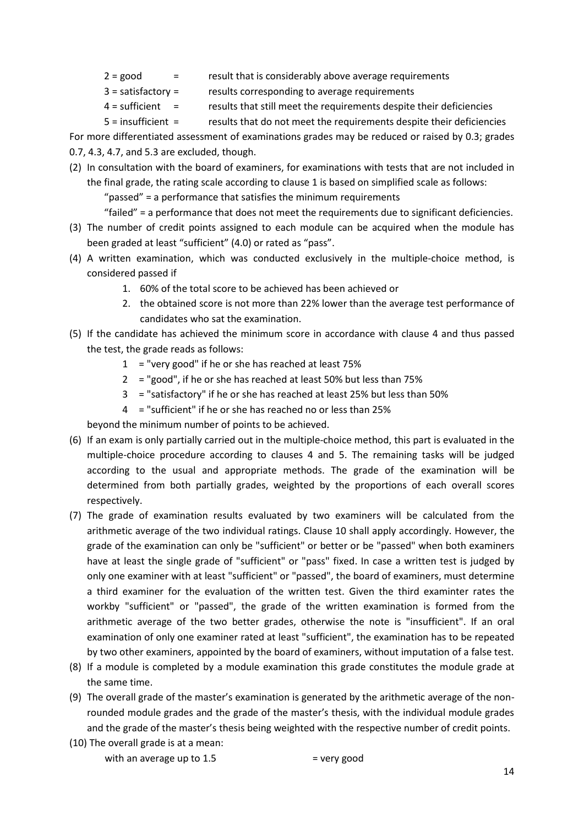- $2 = good$  = result that is considerably above average requirements
- 3 = satisfactory = results corresponding to average requirements
- 4 = sufficient = results that still meet the requirements despite their deficiencies
- 5 = insufficient = results that do not meet the requirements despite their deficiencies
- For more differentiated assessment of examinations grades may be reduced or raised by 0.3; grades 0.7, 4.3, 4.7, and 5.3 are excluded, though.
- (2) In consultation with the board of examiners, for examinations with tests that are not included in the final grade, the rating scale according to clause 1 is based on simplified scale as follows:

"passed" = a performance that satisfies the minimum requirements

"failed" = a performance that does not meet the requirements due to significant deficiencies.

- (3) The number of credit points assigned to each module can be acquired when the module has been graded at least "sufficient" (4.0) or rated as "pass".
- (4) A written examination, which was conducted exclusively in the multiple-choice method, is considered passed if
	- 1. 60% of the total score to be achieved has been achieved or
	- 2. the obtained score is not more than 22% lower than the average test performance of candidates who sat the examination.
- (5) If the candidate has achieved the minimum score in accordance with clause 4 and thus passed the test, the grade reads as follows:
	- $1 =$  "very good" if he or she has reached at least 75%
	- 2 = "good", if he or she has reached at least 50% but less than 75%
	- 3 = "satisfactory" if he or she has reached at least 25% but less than 50%
	- 4 = "sufficient" if he or she has reached no or less than 25%

beyond the minimum number of points to be achieved.

- (6) If an exam is only partially carried out in the multiple-choice method, this part is evaluated in the multiple-choice procedure according to clauses 4 and 5. The remaining tasks will be judged according to the usual and appropriate methods. The grade of the examination will be determined from both partially grades, weighted by the proportions of each overall scores respectively.
- (7) The grade of examination results evaluated by two examiners will be calculated from the arithmetic average of the two individual ratings. Clause 10 shall apply accordingly. However, the grade of the examination can only be "sufficient" or better or be "passed" when both examiners have at least the single grade of "sufficient" or "pass" fixed. In case a written test is judged by only one examiner with at least "sufficient" or "passed", the board of examiners, must determine a third examiner for the evaluation of the written test. Given the third examinter rates the workby "sufficient" or "passed", the grade of the written examination is formed from the arithmetic average of the two better grades, otherwise the note is "insufficient". If an oral examination of only one examiner rated at least "sufficient", the examination has to be repeated by two other examiners, appointed by the board of examiners, without imputation of a false test.
- (8) If a module is completed by a module examination this grade constitutes the module grade at the same time.
- (9) The overall grade of the master's examination is generated by the arithmetic average of the nonrounded module grades and the grade of the master's thesis, with the individual module grades and the grade of the master's thesis being weighted with the respective number of credit points.
- (10) The overall grade is at a mean: with an average up to  $1.5$  = very good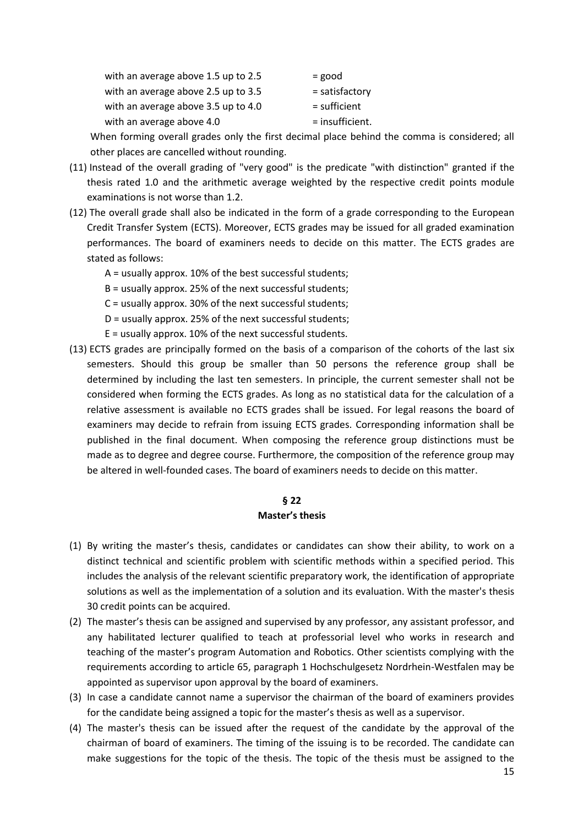| with an average above 1.5 up to 2.5 | $=$ good        |
|-------------------------------------|-----------------|
| with an average above 2.5 up to 3.5 | = satisfactory  |
| with an average above 3.5 up to 4.0 | $=$ sufficient  |
| with an average above 4.0           | = insufficient. |

When forming overall grades only the first decimal place behind the comma is considered; all other places are cancelled without rounding.

- (11) Instead of the overall grading of "very good" is the predicate "with distinction" granted if the thesis rated 1.0 and the arithmetic average weighted by the respective credit points module examinations is not worse than 1.2.
- (12) The overall grade shall also be indicated in the form of a grade corresponding to the European Credit Transfer System (ECTS). Moreover, ECTS grades may be issued for all graded examination performances. The board of examiners needs to decide on this matter. The ECTS grades are stated as follows:
	- A = usually approx. 10% of the best successful students;
	- B = usually approx. 25% of the next successful students;
	- C = usually approx. 30% of the next successful students;
	- D = usually approx. 25% of the next successful students;
	- E = usually approx. 10% of the next successful students.
- (13) ECTS grades are principally formed on the basis of a comparison of the cohorts of the last six semesters. Should this group be smaller than 50 persons the reference group shall be determined by including the last ten semesters. In principle, the current semester shall not be considered when forming the ECTS grades. As long as no statistical data for the calculation of a relative assessment is available no ECTS grades shall be issued. For legal reasons the board of examiners may decide to refrain from issuing ECTS grades. Corresponding information shall be published in the final document. When composing the reference group distinctions must be made as to degree and degree course. Furthermore, the composition of the reference group may be altered in well-founded cases. The board of examiners needs to decide on this matter.

#### **§ 22**

### **Master's thesis**

- (1) By writing the master's thesis, candidates or candidates can show their ability, to work on a distinct technical and scientific problem with scientific methods within a specified period. This includes the analysis of the relevant scientific preparatory work, the identification of appropriate solutions as well as the implementation of a solution and its evaluation. With the master's thesis 30 credit points can be acquired.
- (2) The master's thesis can be assigned and supervised by any professor, any assistant professor, and any habilitated lecturer qualified to teach at professorial level who works in research and teaching of the master's program Automation and Robotics. Other scientists complying with the requirements according to article 65, paragraph 1 Hochschulgesetz Nordrhein-Westfalen may be appointed as supervisor upon approval by the board of examiners.
- (3) In case a candidate cannot name a supervisor the chairman of the board of examiners provides for the candidate being assigned a topic for the master's thesis as well as a supervisor.
- (4) The master's thesis can be issued after the request of the candidate by the approval of the chairman of board of examiners. The timing of the issuing is to be recorded. The candidate can make suggestions for the topic of the thesis. The topic of the thesis must be assigned to the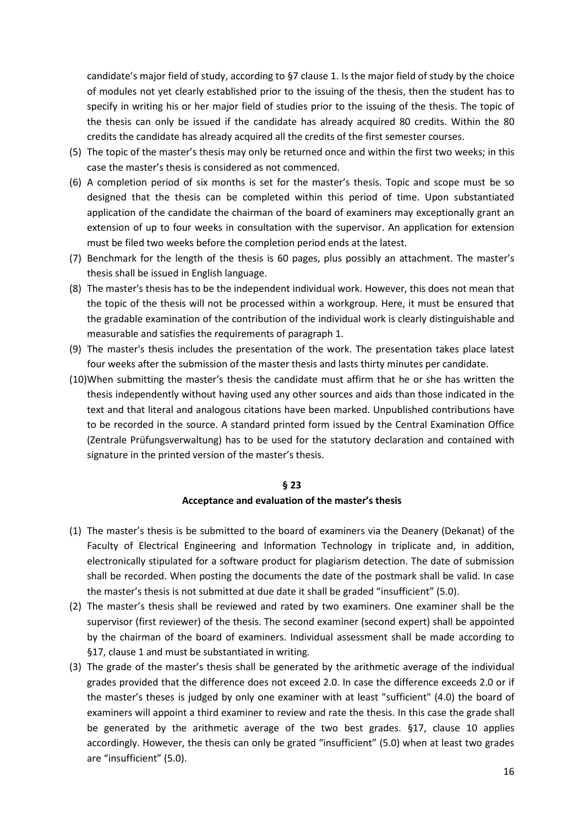candidate's major field of study, according to §7 clause 1. Is the major field of study by the choice of modules not yet clearly established prior to the issuing of the thesis, then the student has to specify in writing his or her major field of studies prior to the issuing of the thesis. The topic of the thesis can only be issued if the candidate has already acquired 80 credits. Within the 80 credits the candidate has already acquired all the credits of the first semester courses.

- (5) The topic of the master's thesis may only be returned once and within the first two weeks; in this case the master's thesis is considered as not commenced.
- (6) A completion period of six months is set for the master's thesis. Topic and scope must be so designed that the thesis can be completed within this period of time. Upon substantiated application of the candidate the chairman of the board of examiners may exceptionally grant an extension of up to four weeks in consultation with the supervisor. An application for extension must be filed two weeks before the completion period ends at the latest.
- (7) Benchmark for the length of the thesis is 60 pages, plus possibly an attachment. The master's thesis shall be issued in English language.
- (8) The master's thesis has to be the independent individual work. However, this does not mean that the topic of the thesis will not be processed within a workgroup. Here, it must be ensured that the gradable examination of the contribution of the individual work is clearly distinguishable and measurable and satisfies the requirements of paragraph 1.
- (9) The master's thesis includes the presentation of the work. The presentation takes place latest four weeks after the submission of the master thesis and lasts thirty minutes per candidate.
- (10)When submitting the master's thesis the candidate must affirm that he or she has written the thesis independently without having used any other sources and aids than those indicated in the text and that literal and analogous citations have been marked. Unpublished contributions have to be recorded in the source. A standard printed form issued by the Central Examination Office (Zentrale Prüfungsverwaltung) has to be used for the statutory declaration and contained with signature in the printed version of the master's thesis.

#### **§ 23**

### **Acceptance and evaluation of the master's thesis**

- (1) The master's thesis is be submitted to the board of examiners via the Deanery (Dekanat) of the Faculty of Electrical Engineering and Information Technology in triplicate and, in addition, electronically stipulated for a software product for plagiarism detection. The date of submission shall be recorded. When posting the documents the date of the postmark shall be valid. In case the master's thesis is not submitted at due date it shall be graded "insufficient" (5.0).
- (2) The master's thesis shall be reviewed and rated by two examiners. One examiner shall be the supervisor (first reviewer) of the thesis. The second examiner (second expert) shall be appointed by the chairman of the board of examiners. Individual assessment shall be made according to §17, clause 1 and must be substantiated in writing.
- (3) The grade of the master's thesis shall be generated by the arithmetic average of the individual grades provided that the difference does not exceed 2.0. In case the difference exceeds 2.0 or if the master's theses is judged by only one examiner with at least "sufficient" (4.0) the board of examiners will appoint a third examiner to review and rate the thesis. In this case the grade shall be generated by the arithmetic average of the two best grades. §17, clause 10 applies accordingly. However, the thesis can only be grated "insufficient" (5.0) when at least two grades are "insufficient" (5.0).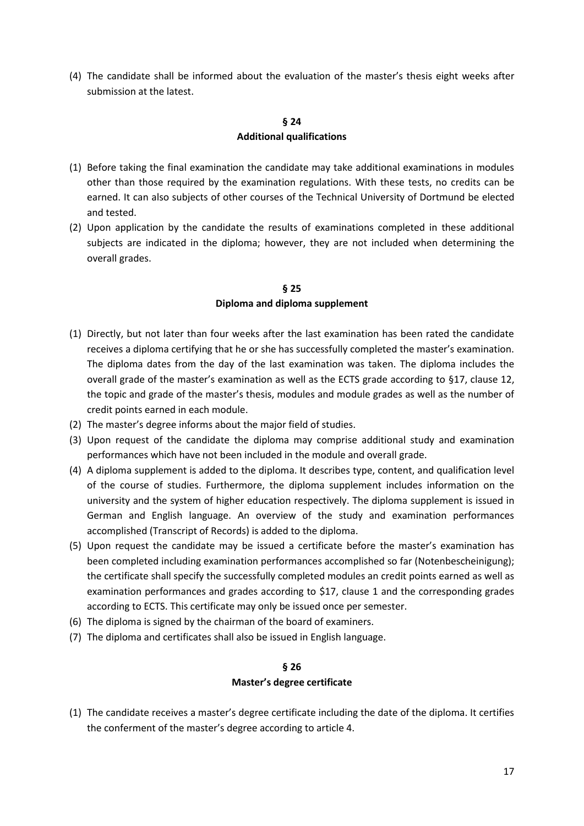(4) The candidate shall be informed about the evaluation of the master's thesis eight weeks after submission at the latest.

# **§ 24 Additional qualifications**

- (1) Before taking the final examination the candidate may take additional examinations in modules other than those required by the examination regulations. With these tests, no credits can be earned. It can also subjects of other courses of the Technical University of Dortmund be elected and tested.
- (2) Upon application by the candidate the results of examinations completed in these additional subjects are indicated in the diploma; however, they are not included when determining the overall grades.

# **§ 25 Diploma and diploma supplement**

- (1) Directly, but not later than four weeks after the last examination has been rated the candidate receives a diploma certifying that he or she has successfully completed the master's examination. The diploma dates from the day of the last examination was taken. The diploma includes the overall grade of the master's examination as well as the ECTS grade according to §17, clause 12, the topic and grade of the master's thesis, modules and module grades as well as the number of credit points earned in each module.
- (2) The master's degree informs about the major field of studies.
- (3) Upon request of the candidate the diploma may comprise additional study and examination performances which have not been included in the module and overall grade.
- (4) A diploma supplement is added to the diploma. It describes type, content, and qualification level of the course of studies. Furthermore, the diploma supplement includes information on the university and the system of higher education respectively. The diploma supplement is issued in German and English language. An overview of the study and examination performances accomplished (Transcript of Records) is added to the diploma.
- (5) Upon request the candidate may be issued a certificate before the master's examination has been completed including examination performances accomplished so far (Notenbescheinigung); the certificate shall specify the successfully completed modules an credit points earned as well as examination performances and grades according to \$17, clause 1 and the corresponding grades according to ECTS. This certificate may only be issued once per semester.
- (6) The diploma is signed by the chairman of the board of examiners.
- (7) The diploma and certificates shall also be issued in English language.

# **§ 26**

# **Master's degree certificate**

(1) The candidate receives a master's degree certificate including the date of the diploma. It certifies the conferment of the master's degree according to article 4.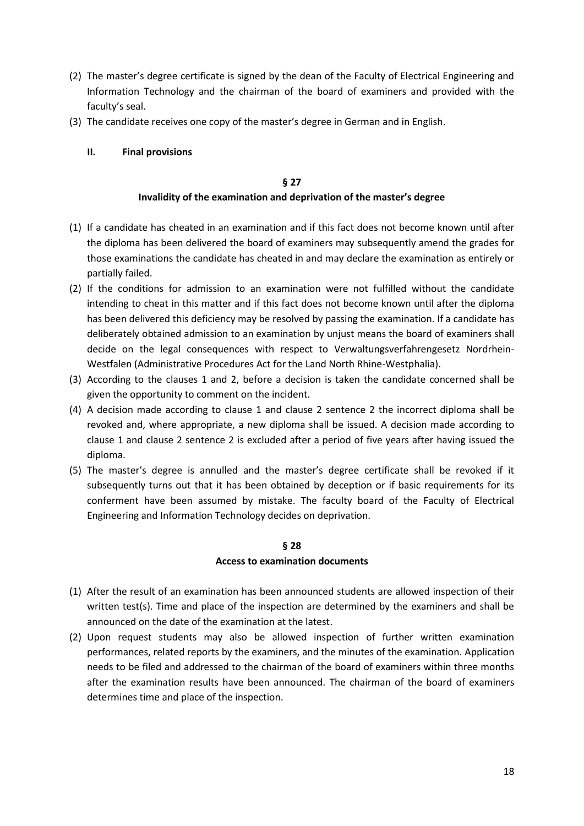- (2) The master's degree certificate is signed by the dean of the Faculty of Electrical Engineering and Information Technology and the chairman of the board of examiners and provided with the faculty's seal.
- (3) The candidate receives one copy of the master's degree in German and in English.
	- **II. Final provisions**

# **§ 27 Invalidity of the examination and deprivation of the master's degree**

- (1) If a candidate has cheated in an examination and if this fact does not become known until after the diploma has been delivered the board of examiners may subsequently amend the grades for those examinations the candidate has cheated in and may declare the examination as entirely or partially failed.
- (2) If the conditions for admission to an examination were not fulfilled without the candidate intending to cheat in this matter and if this fact does not become known until after the diploma has been delivered this deficiency may be resolved by passing the examination. If a candidate has deliberately obtained admission to an examination by unjust means the board of examiners shall decide on the legal consequences with respect to Verwaltungsverfahrengesetz Nordrhein-Westfalen (Administrative Procedures Act for the Land North Rhine-Westphalia).
- (3) According to the clauses 1 and 2, before a decision is taken the candidate concerned shall be given the opportunity to comment on the incident.
- (4) A decision made according to clause 1 and clause 2 sentence 2 the incorrect diploma shall be revoked and, where appropriate, a new diploma shall be issued. A decision made according to clause 1 and clause 2 sentence 2 is excluded after a period of five years after having issued the diploma.
- (5) The master's degree is annulled and the master's degree certificate shall be revoked if it subsequently turns out that it has been obtained by deception or if basic requirements for its conferment have been assumed by mistake. The faculty board of the Faculty of Electrical Engineering and Information Technology decides on deprivation.

# **§ 28**

# **Access to examination documents**

- (1) After the result of an examination has been announced students are allowed inspection of their written test(s). Time and place of the inspection are determined by the examiners and shall be announced on the date of the examination at the latest.
- (2) Upon request students may also be allowed inspection of further written examination performances, related reports by the examiners, and the minutes of the examination. Application needs to be filed and addressed to the chairman of the board of examiners within three months after the examination results have been announced. The chairman of the board of examiners determines time and place of the inspection.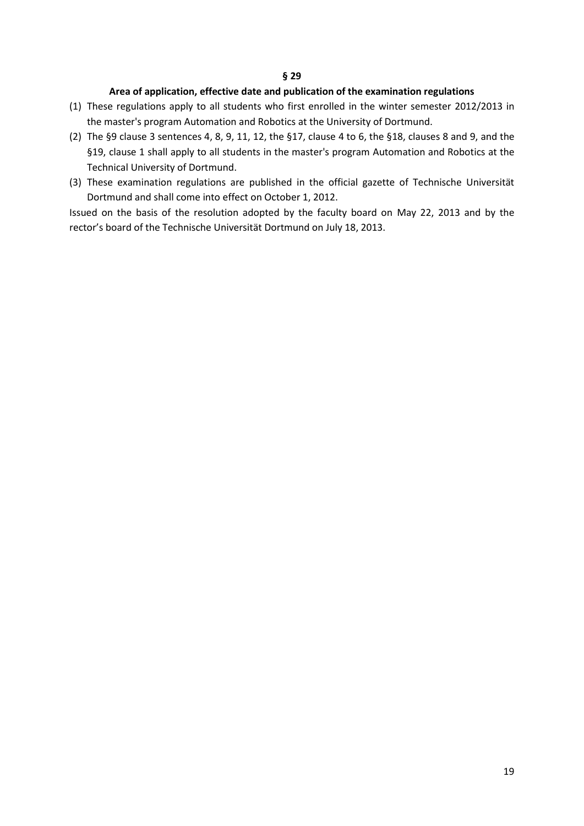### **Area of application, effective date and publication of the examination regulations**

- (1) These regulations apply to all students who first enrolled in the winter semester 2012/2013 in the master's program Automation and Robotics at the University of Dortmund.
- (2) The §9 clause 3 sentences 4, 8, 9, 11, 12, the §17, clause 4 to 6, the §18, clauses 8 and 9, and the §19, clause 1 shall apply to all students in the master's program Automation and Robotics at the Technical University of Dortmund.
- (3) These examination regulations are published in the official gazette of Technische Universität Dortmund and shall come into effect on October 1, 2012.

Issued on the basis of the resolution adopted by the faculty board on May 22, 2013 and by the rector's board of the Technische Universität Dortmund on July 18, 2013.